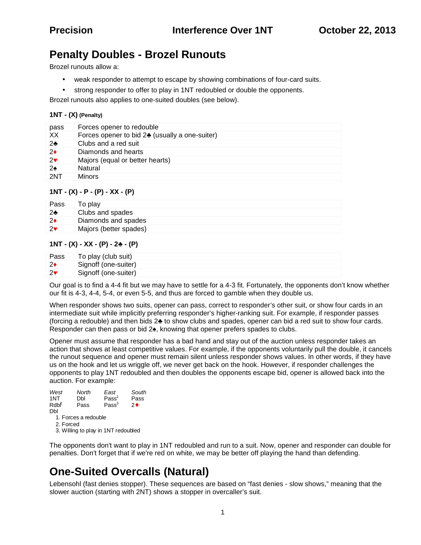## **Penalty Doubles - Brozel Runouts**

Brozel runouts allow a:

- weak responder to attempt to escape by showing combinations of four-card suits.
- strong responder to offer to play in 1NT redoubled or double the opponents.

Brozel runouts also applies to one-suited doubles (see below).

#### **1NT - (X) (Penalty)**

| pass          | Forces opener to redouble                     |
|---------------|-----------------------------------------------|
| XX.           | Forces opener to bid 2 (usually a one-suiter) |
| 2             | Clubs and a red suit                          |
| 2             | Diamonds and hearts                           |
| 2             | Majors (equal or better hearts)               |
| $\mathcal{P}$ | Natural                                       |
| 2NT           | <b>Minors</b>                                 |

#### **1NT - (X) - P - (P) - XX - (P)**

| Pass | To play                |
|------|------------------------|
|      | Clubs and spades       |
| 2    | Diamonds and spades    |
| 2    | Majors (better spades) |

#### **1NT - (X) - XX - (P) - 2 - (P)**

| Pass | To play (club suit)  |
|------|----------------------|
|      | Signoff (one-suiter) |
| 2    | Signoff (one-suiter) |

Our goal is to find a 4-4 fit but we may have to settle for a 4-3 fit. Fortunately, the opponents don't know whether our fit is 4-3, 4-4, 5-4, or even 5-5, and thus are forced to gamble when they double us.

When responder shows two suits, opener can pass, correct to responder's other suit, or show four cards in an intermediate suit while implicitly preferring responder's higher-ranking suit. For example, if responder passes (forcing a redouble) and then bids 2 to show clubs and spades, opener can bid a red suit to show four cards. Responder can then pass or bid 2 , knowing that opener prefers spades to clubs.

Opener must assume that responder has a bad hand and stay out of the auction unless responder takes an action that shows at least competitive values. For example, if the opponents voluntarily pull the double, it cancels the runout sequence and opener must remain silent unless responder shows values. In other words, if they have us on the hook and let us wriggle off, we never get back on the hook. However, if responder challenges the opponents to play 1NT redoubled and then doubles the opponents escape bid, opener is allowed back into the auction. For example:

| West<br>1NT | North<br>Dbl        | East<br>Pass <sup>1</sup> | South<br>Pass |
|-------------|---------------------|---------------------------|---------------|
| Rdbf        | Pass                | Pass <sup>3</sup>         | 2♦            |
| Dbl         |                     |                           |               |
|             | 1 Earces a radouble |                           |               |

1. Forces a redouble

 2. Forced 3. Willing to play in 1NT redoubled

The opponents don't want to play in 1NT redoubled and run to a suit. Now, opener and responder can double for penalties. Don't forget that if we're red on white, we may be better off playing the hand than defending.

## **One-Suited Overcalls (Natural)**

Lebensohl (fast denies stopper). These sequences are based on "fast denies - slow shows," meaning that the slower auction (starting with 2NT) shows a stopper in overcaller's suit.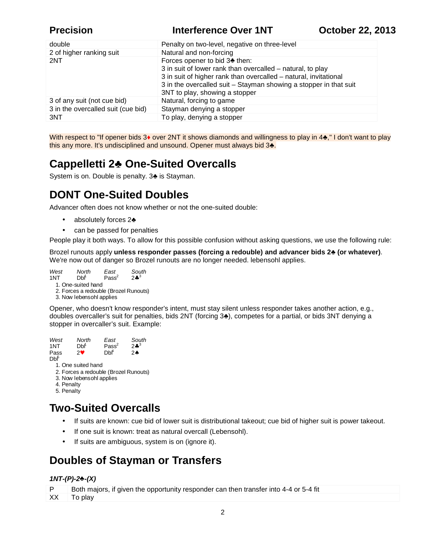**Precision Interference Over 1NT October 22, 2013** 

| double                             | Penalty on two-level, negative on three-level                                                                                                                                                                                                                         |
|------------------------------------|-----------------------------------------------------------------------------------------------------------------------------------------------------------------------------------------------------------------------------------------------------------------------|
| 2 of higher ranking suit           | Natural and non-forcing                                                                                                                                                                                                                                               |
| 2NT                                | Forces opener to bid 3 then:<br>3 in suit of lower rank than overcalled - natural, to play<br>3 in suit of higher rank than overcalled – natural, invitational<br>3 in the overcalled suit - Stayman showing a stopper in that suit<br>3NT to play, showing a stopper |
| 3 of any suit (not cue bid)        | Natural, forcing to game                                                                                                                                                                                                                                              |
| 3 in the overcalled suit (cue bid) | Stayman denying a stopper                                                                                                                                                                                                                                             |
| 3NT                                | To play, denying a stopper                                                                                                                                                                                                                                            |

With respect to "If opener bids 3 over 2NT it shows diamonds and willingness to play in 4, "I don't want to play this any more. It's undisciplined and unsound. Opener must always bid 3.

# **Cappelletti 2♣ One-Suited Overcalls**

System is on. Double is penalty. 3 is Stayman.

# **DONT One-Suited Doubles**

Advancer often does not know whether or not the one-suited double:

- absolutely forces 2
- can be passed for penalties

People play it both ways. To allow for this possible confusion without asking questions, we use the following rule:

Brozel runouts apply **unless responder passes (forcing a redouble) and advancer bids 2 (or whatever)**. We're now out of danger so Brozel runouts are no longer needed. lebensohl applies.

*West North East South*  $Pass<sup>2</sup>$  $2*^{3}$  1. One-suited hand 2. Forces a redouble (Brozel Runouts)

3. Now lebensohl applies

Opener, who doesn't know responder's intent, must stay silent unless responder takes another action, e.g., doubles overcaller's suit for penalties, bids 2NT (forcing 3 ), competes for a partial, or bids 3NT denying a stopper in overcaller's suit. Example:

*West North East South* 1NT Dbl<sup>i</sup> Pass<sup>∠</sup><br>Pass 2♥ Dbl<sup>4</sup>  $2*^3$ Pass  $2\bullet$  Db<sup>4</sup> 2 $\bullet$  $Db<sup>5</sup>$  1. One suited hand 2. Forces a redouble (Brozel Runouts) 3. Now lebensohl applies 4. Penalty 5. Penalty

# **Two-Suited Overcalls**

- If suits are known: cue bid of lower suit is distributional takeout; cue bid of higher suit is power takeout.
- If one suit is known: treat as natural overcall (Lebensohl).
- If suits are ambiguous, system is on (ignore it).

## **Doubles of Stayman or Transfers**

#### *1NT-(P)-2 -(X)*

P Both majors, if given the opportunity responder can then transfer into 4-4 or 5-4 fit

XX To play